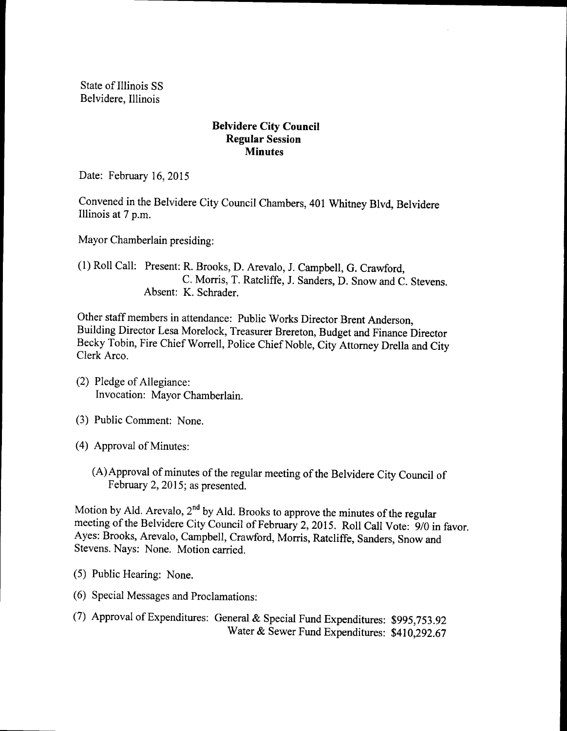State of Illinois SS Belvidere, Illinois

## Belvidere City Council Regular Session **Minutes**

Date: February 16, 2015

Convened in the Belvidere City Council Chambers, 401 Whitney Blvd, Belvidere Illinois at 7 p.m.

Mayor Chamberlain presiding:

1) Roll Call: Present: R. Brooks, D. Arevalo, J. Campbell, G. Crawford, C. Morris, T. Ratcliffe, J. Sanders, D. Snow and C. Stevens. Absent: K. Schrader.

Other staff members in attendance: Public Works Director Brent Anderson, Building Director Lesa Morelock, Treasurer Brereton, Budget and Finance Director Becky Tobin, Fire Chief Worrell, Police Chief Noble, City Attorney Drella and City Clerk Arco.

- (2) Pledge of Allegiance: Invocation: Mayor Chamberlain.
- 3) Public Comment: None.
- 4) Approval of Minutes:
	- (A) Approval of minutes of the regular meeting of the Belvidere City Council of February 2, 2015; as presented.

Motion by Ald. Arevalo, 2<sup>nd</sup> by Ald. Brooks to approve the minutes of the regular meeting of the Belvidere City Council of February 2, 2015. Roll Call Vote: 9/0 in favor. Ayes: Brooks, Arevalo, Campbell, Crawford, Morris, Ratcliffe, Sanders, Snow and Stevens. Nays: None. Motion carried.

- 5) Public Hearing: None.
- 6) Special Messages and Proclamations:
- 7) Approval ofExpenditures: General & Special Fund Expenditures: \$995, 753. <sup>92</sup> Water& Sewer Fund Expenditures: \$410,292.67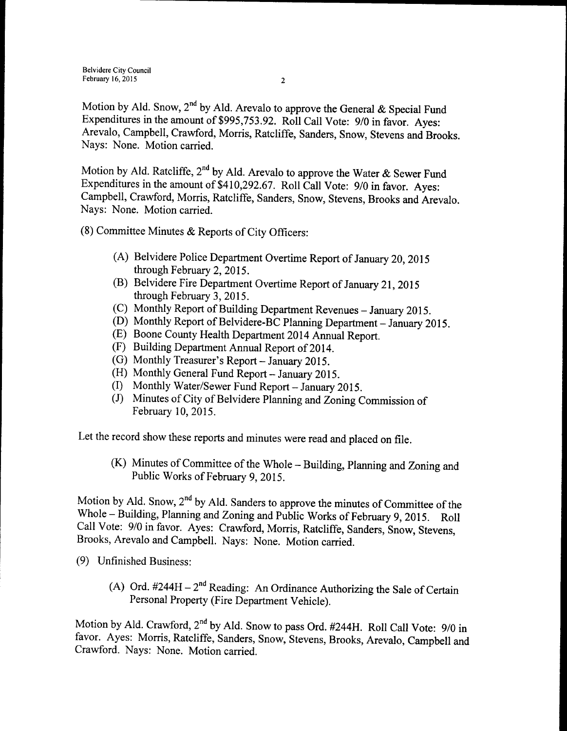Motion by Ald. Snow, 2<sup>nd</sup> by Ald. Arevalo to approve the General & Special Fund Expenditures in the amount of \$995, 753. 92. Roll Call Vote: 9/0 in favor. Ayes: Arevalo, Campbell, Crawford, Morris, Ratcliffe, Sanders, Snow, Stevens and Brooks. Nays: None. Motion carried.

Motion by Ald. Ratcliffe, 2<sup>nd</sup> by Ald. Arevalo to approve the Water & Sewer Fund Expenditures in the amount of \$410,292.67. Roll Call Vote:  $9/0$  in favor. Ayes: Campbell, Crawford, Morris, Ratcliffe, Sanders, Snow, Stevens, Brooks and Arevalo. Nays: None. Motion carried.

- 8) Committee Minutes & Reports of City Officers:
	- A) Belvidere Police Department Overtime Report of January 20, 2015 through February 2, 2015.
	- (B) Belvidere Fire Department Overtime Report of January 21, 2015 through February 3, 2015.
	- (C) Monthly Report of Building Department Revenues January 2015.
	- (D) Monthly Report of Belvidere-BC Planning Department January 2015.
	- E) Boone County Health Department 2014 Annual Report.
	- F) Building Department Annual Report of 2014.
	- (G) Monthly Treasurer's Report  $-$  January 2015.
	- H) Monthly General Fund Report—January 2015.
	- I) Monthly Water/Sewer Fund Report— January 2015.
	- (J) Minutes of City of Belvidere Planning and Zoning Commission of February 10, 2015.

Let the record show these reports and minutes were read and placed on file.

 $(K)$  Minutes of Committee of the Whole – Building, Planning and Zoning and Public Works of February 9, 2015.

Motion by Ald. Snow,  $2^{nd}$  by Ald. Sanders to approve the minutes of Committee of the Whole – Building, Planning and Zoning and Public Works of February 9, 2015. Roll Call Vote: 9/0 in favor. Ayes: Crawford, Morris, Ratcliffe, Sanders, Snow, Stevens, Brooks, Arevalo and Campbell. Nays: None. Motion carried.

9) Unfinished Business:

A) Ord.  $\#244H - 2^{nd}$  Reading: An Ordinance Authorizing the Sale of Certain Personal Property (Fire Department Vehicle).

Motion by Ald. Crawford,  $2<sup>nd</sup>$  by Ald. Snow to pass Ord. #244H. Roll Call Vote: 9/0 in favor. Ayes: Morris, Ratcliffe, Sanders, Snow, Stevens, Brooks, Arevalo, Campbell and Crawford. Nays: None. Motion carried.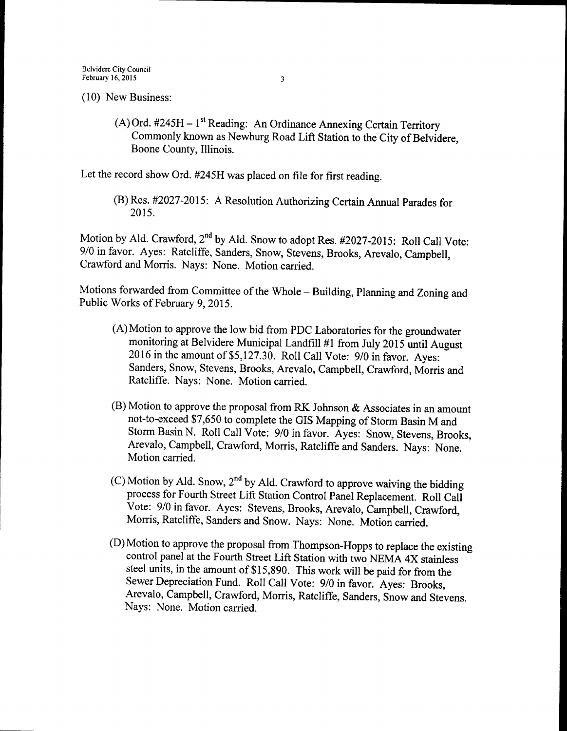10) New Business:

A) Ord. #245H - 1<sup>st</sup> Reading: An Ordinance Annexing Certain Territory Commonly known as Newburg Road Lift Station to the City of Belvidere, Boone County, Illinois.

Let the record show Ord. #245H was placed on file for first reading.

B) Res. # 2027-2015: A Resolution Authorizing Certain Annual Parades for 2015.

Motion by Ald. Crawford, 2<sup>nd</sup> by Ald. Snow to adopt Res. #2027-2015: Roll Call Vote: 9/0 in favor. Ayes: Ratcliffe, Sanders, Snow, Stevens, Brooks, Arevalo, Campbell, Crawford and Morris. Nays: None. Motion carried.

Motions forwarded from Committee of the Whole—Building, Planning and Zoning and Public Works of February 9, 2015.

- A) Motion to approve the low bid from PDC Laboratories for the groundwater monitoring at Belvidere Municipal Landfill #1 from July 2015 until August 2016 in the amount of \$5,127.30. Roll Call Vote: 9/0 in favor. Ayes: Sanders, Snow, Stevens, Brooks, Arevalo, Campbell, Crawford, Morris and Ratcliffe. Nays: None. Motion carried.
- $(B)$  Motion to approve the proposal from RK Johnson & Associates in an amount not-to-exceed \$7, 650 to complete the GIS Mapping of Storm Basin M and Storm Basin N. Roll Call Vote: 9/0 in favor. Ayes: Snow, Stevens, Brooks, Arevalo, Campbell, Crawford, Morris, Ratcliffe and Sanders. Nays: None. Motion carried.
- C) Motion by Ald. Snow,  $2<sup>nd</sup>$  by Ald. Crawford to approve waiving the bidding process for Fourth Street Lift Station Control Panel Replacement. Roll Call Vote: 9/0 in favor. Ayes: Stevens, Brooks, Arevalo, Campbell, Crawford, Morris, Ratcliffe, Sanders and Snow. Nays: None. Motion carried.
- $(D)$  Motion to approve the proposal from Thompson-Hopps to replace the existing control panel at the Fourth Street Lift Station with two NEMA 4X stainless steel units, in the amount of \$15,890. This work will be paid for from the Sewer Depreciation Fund. Roll Call Vote: 9/0 in favor. Ayes: Brooks, Arevalo, Campbell, Crawford, Morris, Ratcliffe, Sanders, Snow and Stevens. Nays: None. Motion carried.